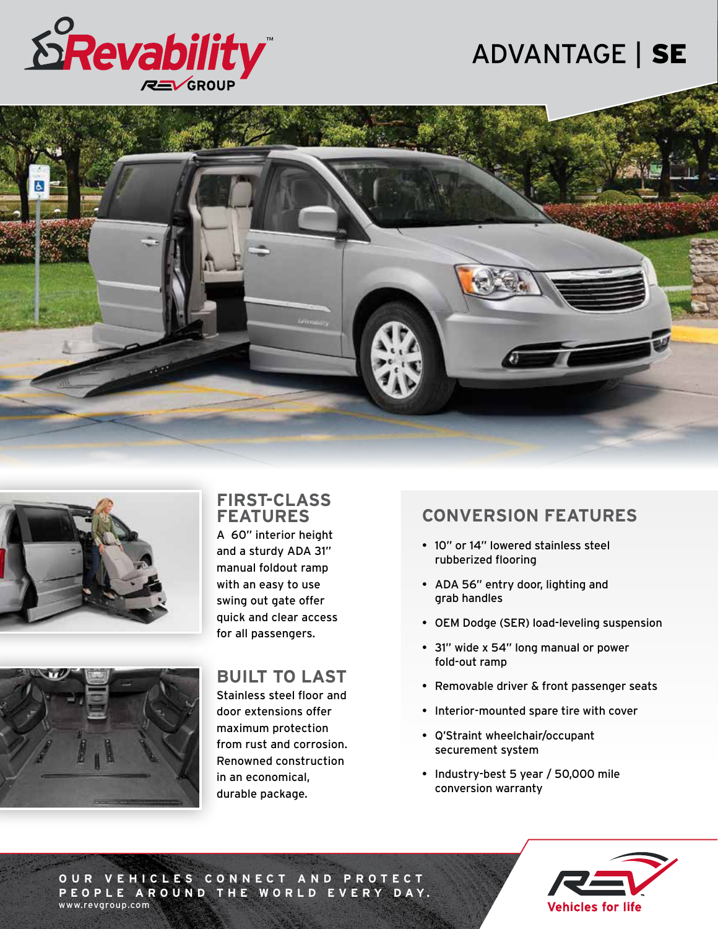

## ADVANTAGE | SE





### **FIRST-CLASS FEATURES**

A 60" interior height and a sturdy ADA 31" manual foldout ramp with an easy to use swing out gate offer quick and clear access for all passengers.



## **BUILT TO LAST**

Stainless steel floor and door extensions offer maximum protection from rust and corrosion. Renowned construction in an economical, durable package.

## **CONVERSION FEATURES**

- 10" or 14" lowered stainless steel rubberized flooring
- ADA 56" entry door, lighting and grab handles
- OEM Dodge (SER) load-leveling suspension
- 31" wide x 54" long manual or power fold-out ramp
- Removable driver & front passenger seats
- Interior-mounted spare tire with cover
- Q'Straint wheelchair/occupant securement system
- Industry-best 5 year / 50,000 mile conversion warranty



**OUR VEHICLES CONNECT AND PROTECT P EO P L E A R O U N D T H E WO R L D E V E RY DAY.** www.revgroup.com